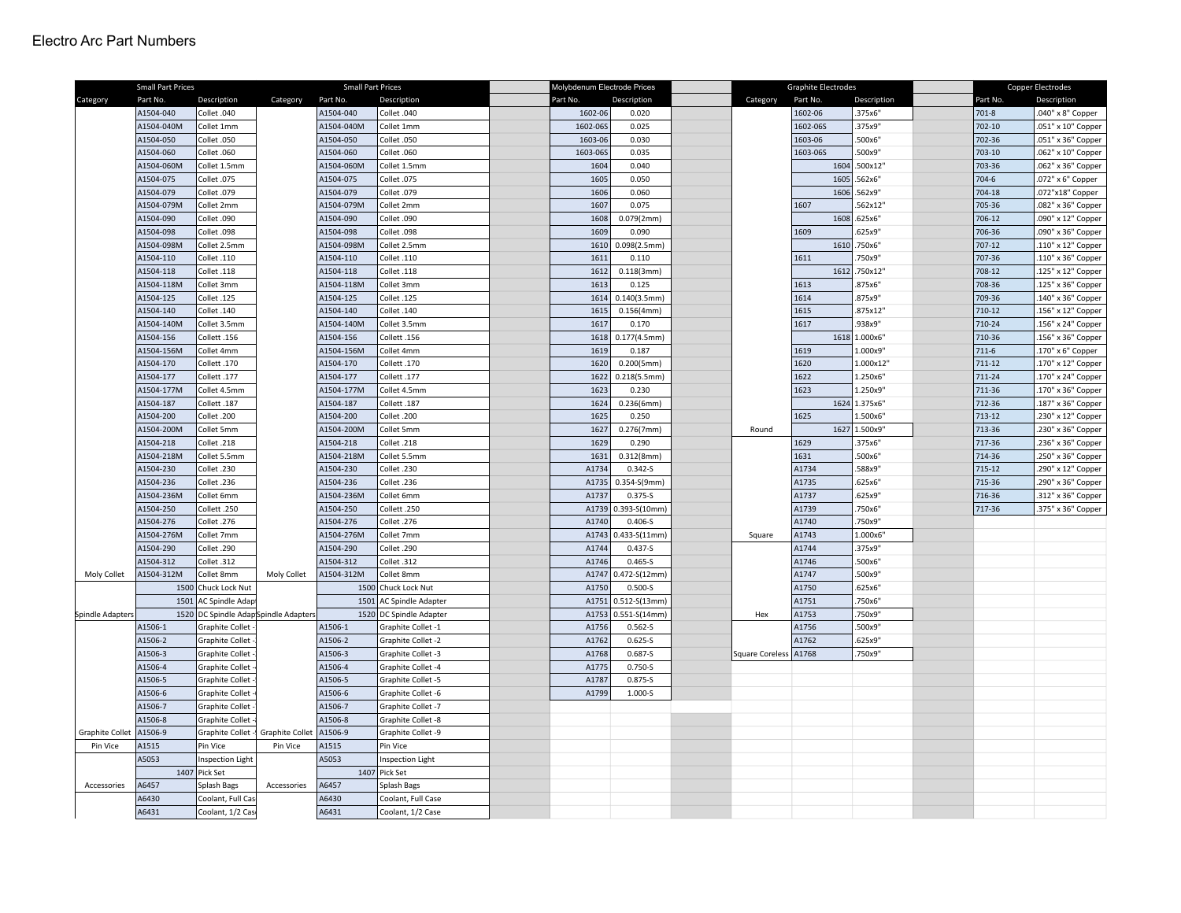|                        | <b>Small Part Prices</b><br><b>Small Part Prices</b> |                                      |                        |            | Molybdenum Electrode Prices |  |          | <b>Graphite Electrodes</b> |  |                       | Copper Electrodes |               |  |          |                    |
|------------------------|------------------------------------------------------|--------------------------------------|------------------------|------------|-----------------------------|--|----------|----------------------------|--|-----------------------|-------------------|---------------|--|----------|--------------------|
| Category               | Part No.                                             | Description                          | Category               | Part No.   | Description                 |  | Part No. | Description                |  | Category              | Part No.          | Description   |  | Part No. | Description        |
|                        | A1504-040                                            | Collet .040                          |                        | A1504-040  | Collet .040                 |  | 1602-06  | 0.020                      |  |                       | 1602-06           | .375x6"       |  | 701-8    | .040" x 8" Copper  |
|                        | A1504-040M                                           | Collet 1mm                           |                        | A1504-040M | Collet 1mm                  |  | 1602-065 | 0.025                      |  |                       | 1602-065          | .375x9"       |  | 702-10   | .051" x 10" Copper |
|                        | A1504-050                                            | Collet .050                          |                        | A1504-050  | Collet .050                 |  | 1603-06  | 0.030                      |  |                       | 1603-06           | 500x6"        |  | 702-36   | .051" x 36" Copper |
|                        | A1504-060                                            | Collet .060                          |                        | A1504-060  | Collet .060                 |  | 1603-065 | 0.035                      |  |                       | 1603-06S          | 500x9"        |  | 703-10   | .062" x 10" Copper |
|                        | A1504-060M                                           | Collet 1.5mm                         |                        | A1504-060M | Collet 1.5mm                |  | 1604     | 0.040                      |  |                       | 1604              | 500x12"       |  | 703-36   | .062" x 36" Copper |
|                        | A1504-075                                            | Collet .075                          |                        | A1504-075  | Collet .075                 |  | 1605     | 0.050                      |  |                       | 1605              | 562x6"        |  | 704-6    | .072" x 6" Copper  |
|                        | A1504-079                                            | Collet .079                          |                        | A1504-079  | Collet .079                 |  | 1606     | 0.060                      |  |                       |                   | 1606 .562x9"  |  | 704-18   | .072"x18" Copper   |
|                        | A1504-079M                                           | Collet 2mm                           |                        | A1504-079M | Collet 2mm                  |  | 1607     | 0.075                      |  |                       | 1607              | 562x12"       |  | 705-36   | .082" x 36" Copper |
|                        | A1504-090                                            | Collet .090                          |                        | A1504-090  | Collet .090                 |  | 1608     | 0.079(2mm)                 |  |                       | 1608              | .625x6"       |  | 706-12   | .090" x 12" Copper |
|                        | A1504-098                                            | Collet .098                          |                        | A1504-098  | Collet .098                 |  | 1609     | 0.090                      |  |                       | 1609              | 625x9"        |  | 706-36   | .090" x 36" Copper |
|                        | A1504-098M                                           | Collet 2.5mm                         |                        | A1504-098M | Collet 2.5mm                |  | 1610     | 0.098(2.5mm)               |  |                       | 1610              | 750x6"        |  | 707-12   | .110" x 12" Copper |
|                        | A1504-110                                            | Collet .110                          |                        | A1504-110  | Collet .110                 |  | 1611     | 0.110                      |  |                       | 1611              | 750x9"        |  | 707-36   | .110" x 36" Copper |
|                        | A1504-118                                            | Collet .118                          |                        | A1504-118  | Collet .118                 |  | 1612     | 0.118(3mm)                 |  |                       |                   | 1612.750x12"  |  | 708-12   | .125" x 12" Copper |
|                        | A1504-118M                                           | Collet 3mm                           |                        | A1504-118M | Collet 3mm                  |  | 1613     | 0.125                      |  |                       | 1613              | .875x6"       |  | 708-36   | 125" x 36" Copper  |
|                        | A1504-125                                            | Collet .125                          |                        | A1504-125  | Collet .125                 |  | 1614     | 0.140(3.5mm)               |  |                       | 1614              | 875x9"        |  | 709-36   | .140" x 36" Copper |
|                        | A1504-140                                            | Collet .140                          |                        | A1504-140  | Collet .140                 |  | 1615     | 0.156(4mm)                 |  |                       | 1615              | 875x12"       |  | 710-12   | .156" x 12" Copper |
|                        | A1504-140M                                           | Collet 3.5mm                         |                        | A1504-140M | Collet 3.5mm                |  | 1617     | 0.170                      |  |                       | 1617              | .938x9"       |  | 710-24   | .156" x 24" Copper |
|                        | A1504-156                                            | Collett .156                         |                        | A1504-156  | Collett .156                |  | 1618     | 0.177(4.5mm)               |  |                       |                   | 1618 1.000x6" |  | 710-36   | .156" x 36" Copper |
|                        | A1504-156M                                           | Collet 4mm                           |                        | A1504-156M | Collet 4mm                  |  | 1619     | 0.187                      |  |                       | 1619              | 1.000x9"      |  | 711-6    | .170" x 6" Copper  |
|                        | A1504-170                                            | Collett .170                         |                        | A1504-170  | Collett.170                 |  | 1620     | 0.200(5mm)                 |  |                       | 1620              | 1.000x12"     |  | 711-12   | .170" x 12" Copper |
|                        | A1504-177                                            | Collett.177                          |                        | A1504-177  | Collett.177                 |  | 1622     | 0.218(5.5mm)               |  |                       | 1622              | 1.250x6"      |  | 711-24   | .170" x 24" Copper |
|                        | A1504-177M                                           | Collet 4.5mm                         |                        | A1504-177M | Collet 4.5mm                |  | 1623     | 0.230                      |  |                       | 1623              | 1.250x9"      |  | 711-36   | .170" x 36" Copper |
|                        | A1504-187                                            | Collett .187                         |                        | A1504-187  | Collett .187                |  | 1624     | 0.236(6mm)                 |  |                       |                   | 1624 1.375x6  |  | 712-36   | .187" x 36" Copper |
|                        | A1504-200                                            | Collet .200                          |                        | A1504-200  | Collet .200                 |  | 1625     | 0.250                      |  |                       | 1625              | 1.500x6'      |  | 713-12   | .230" x 12" Copper |
|                        | A1504-200M                                           | Collet 5mm                           |                        | A1504-200M | Collet 5mm                  |  | 1627     | 0.276(7mm)                 |  | Round                 |                   | 1627 1.500x9' |  | 713-36   | 230" x 36" Copper  |
|                        | A1504-218                                            | Collet .218                          |                        | A1504-218  | Collet .218                 |  | 1629     | 0.290                      |  |                       | 1629              | .375x6"       |  | 717-36   | .236" x 36" Copper |
|                        | A1504-218M                                           | Collet 5.5mm                         |                        | A1504-218M | Collet 5.5mm                |  | 1631     | 0.312(8mm)                 |  |                       | 1631              | 500x6"        |  | 714-36   | .250" x 36" Copper |
|                        | A1504-230                                            | Collet .230                          |                        | A1504-230  | Collet .230                 |  | A1734    | $0.342 - S$                |  |                       | A1734             | 588x9"        |  | 715-12   | .290" x 12" Copper |
|                        | A1504-236                                            | Collet .236                          |                        | A1504-236  | Collet .236                 |  | A1735    | 0.354-S(9mm)               |  |                       | A1735             | 625x6"        |  | 715-36   | 290" x 36" Copper  |
|                        | A1504-236M                                           | Collet 6mm                           |                        | A1504-236M | Collet 6mm                  |  | A1737    | $0.375 - S$                |  |                       | A1737             | 625x9"        |  | 716-36   | 312" x 36" Copper  |
|                        | A1504-250                                            | Collett .250                         |                        | A1504-250  | Collett.250                 |  |          | A1739 0.393-S(10mm)        |  |                       | A1739             | 750x6"        |  | 717-36   | .375" x 36" Copper |
|                        | A1504-276                                            | Collet .276                          |                        | A1504-276  | Collet .276                 |  | A1740    | $0.406 - S$                |  |                       | A1740             | .750x9"       |  |          |                    |
|                        | A1504-276M                                           | Collet 7mm                           |                        | A1504-276M | Collet 7mm                  |  |          | A1743 0.433-S(11mm)        |  | Square                | A1743             | 1.000x6'      |  |          |                    |
|                        | A1504-290                                            | Collet .290                          |                        | A1504-290  | Collet .290                 |  | A1744    | $0.437 - S$                |  |                       | A1744             | .375x9"       |  |          |                    |
|                        | A1504-312                                            | Collet .312                          |                        | A1504-312  | Collet .312                 |  | A1746    | $0.465 - S$                |  |                       | A1746             | 500x6"        |  |          |                    |
| Moly Collet            | A1504-312M                                           | Collet 8mm                           | Moly Collet            | A1504-312M | Collet 8mm                  |  |          | A1747 0.472-S(12mm)        |  |                       | A1747             | 500x9"        |  |          |                    |
|                        |                                                      | 1500 Chuck Lock Nut                  |                        | 1500       | Chuck Lock Nut              |  | A1750    | $0.500 - S$                |  |                       | A1750             | 625x6"        |  |          |                    |
|                        | 1501                                                 | AC Spindle Adap                      |                        | 1501       | AC Spindle Adapter          |  |          | A1751 0.512-S(13mm)        |  |                       | A1751             | .750x6"       |  |          |                    |
| Spindle Adapters       |                                                      | 1520 DC Spindle AdapSpindle Adapters |                        |            | 1520 DC Spindle Adapter     |  |          | A1753 0.551-S(14mm)        |  | Hex                   | A1753             | .750x9"       |  |          |                    |
|                        | A1506-1                                              | Graphite Collet                      |                        | A1506-1    | Graphite Collet -1          |  | A1756    | $0.562 - S$                |  |                       | A1756             | .500x9"       |  |          |                    |
|                        | A1506-2                                              | <b>Graphite Collet</b>               |                        | A1506-2    | Graphite Collet -2          |  | A1762    | $0.625 - S$                |  |                       | A1762             | .625x9"       |  |          |                    |
|                        | A1506-3                                              | <b>Graphite Collet</b>               |                        | A1506-3    | Graphite Collet -3          |  | A1768    | $0.687 - S$                |  | Square Coreless A1768 |                   | .750x9"       |  |          |                    |
|                        | A1506-4                                              | <b>Graphite Collet</b>               |                        | A1506-4    | Graphite Collet -4          |  | A1775    | $0.750 - S$                |  |                       |                   |               |  |          |                    |
|                        | A1506-5                                              | <b>Graphite Collet</b>               |                        | A1506-5    | Graphite Collet -5          |  | A1787    | $0.875 - S$                |  |                       |                   |               |  |          |                    |
|                        | A1506-6                                              | <b>Graphite Collet</b>               |                        | A1506-6    | Graphite Collet -6          |  | A1799    | 1.000-S                    |  |                       |                   |               |  |          |                    |
|                        | A1506-7                                              | <b>Graphite Collet</b>               |                        | A1506-7    | Graphite Collet -7          |  |          |                            |  |                       |                   |               |  |          |                    |
|                        | A1506-8                                              | <b>Graphite Collet</b>               |                        | A1506-8    | Graphite Collet -8          |  |          |                            |  |                       |                   |               |  |          |                    |
| <b>Graphite Collet</b> | A1506-9                                              | Graphite Collet -!                   | <b>Graphite Collet</b> | A1506-9    | Graphite Collet -9          |  |          |                            |  |                       |                   |               |  |          |                    |
| Pin Vice               | A1515                                                | Pin Vice                             | Pin Vice               | A1515      | Pin Vice                    |  |          |                            |  |                       |                   |               |  |          |                    |
|                        | A5053                                                | <b>Inspection Light</b>              |                        | A5053      | Inspection Light            |  |          |                            |  |                       |                   |               |  |          |                    |
|                        |                                                      | 1407 Pick Set                        |                        |            | 1407 Pick Set               |  |          |                            |  |                       |                   |               |  |          |                    |
| Accessories            | A6457                                                | Splash Bags                          | Accessories            | A6457      | Splash Bags                 |  |          |                            |  |                       |                   |               |  |          |                    |
|                        | A6430                                                | Coolant, Full Cas                    |                        | A6430      | Coolant, Full Case          |  |          |                            |  |                       |                   |               |  |          |                    |
|                        | A6431                                                | Coolant, 1/2 Cas                     |                        | A6431      | Coolant, 1/2 Case           |  |          |                            |  |                       |                   |               |  |          |                    |